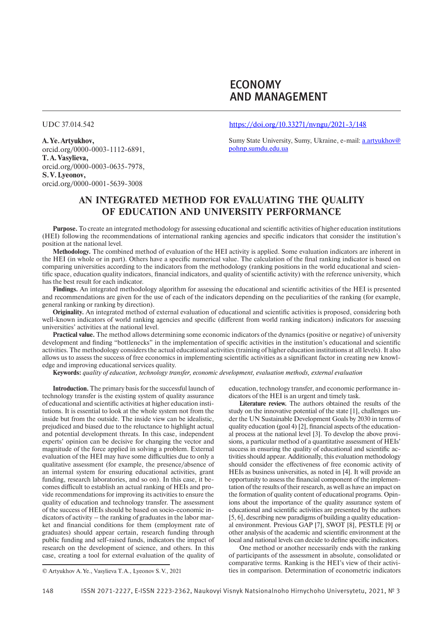# ECONOMY AND MANAGEMENT

UDC 37.014.542

**A.Ye.Artyukhov,** orcid.org/0000-0003-1112-6891, **T.A.Vasylieva,** orcid.org/0000-0003-0635-7978, **S.V.Lyeonov,** orcid.org/0000-0001-5639-3008

### https://doi.org/10.33271/nvngu/2021-3/148

Sumy State University, Sumy, Ukraine, e-mail: a.artyukhov@ pohnp.sumdu.edu.ua

# **AN INTEGRATED METHOD FOR EVALUATING THE QUALITY OF EDUCATION AND UNIVERSITY PERFORMANCE**

**Purpose.** To create an integrated methodology for assessing educational and scientific activities of higher education institutions (HEI) following the recommendations of international ranking agencies and specific indicators that consider the institution's position at the national level.

**Methodology.** The combined method of evaluation of the HEI activity is applied. Some evaluation indicators are inherent in the HEI (in whole or in part). Others have a specific numerical value. The calculation of the final ranking indicator is based on comparing universities according to the indicators from the methodology (ranking positions in the world educational and scientific space, education quality indicators, financial indicators, and quality of scientific activity) with the reference university, which has the best result for each indicator.

**Findings.** An integrated methodology algorithm for assessing the educational and scientific activities of the HEI is presented and recommendations are given for the use of each of the indicators depending on the peculiarities of the ranking (for example, general ranking or ranking by direction).

**Originality.** An integrated method of external evaluation of educational and scientific activities is proposed, considering both well-known indicators of world ranking agencies and specific (different from world ranking indicators) indicators for assessing universities' activities at the national level.

**Practical value.** The method allows determining some economic indicators of the dynamics (positive or negative) of university development and finding "bottlenecks" in the implementation of specific activities in the institution's educational and scientific activities. The methodology considers the actual educational activities (training of higher education institutions at all levels). It also allows us to assess the success of free economics in implementing scientific activities as a significant factor in creating new knowledge and improving educational services quality.

**Keywords:** *quality of education, technology transfer, economic development, evaluation methods, external evaluation*

**Introduction.** The primary basis for the successful launch of technology transfer is the existing system of quality assurance of educational and scientific activities at higher education institutions. It is essential to look at the whole system not from the inside but from the outside. The inside view can be idealistic, prejudiced and biased due to the reluctance to highlight actual and potential development threats. In this case, independent experts' opinion can be decisive for changing the vector and magnitude of the force applied in solving a problem. External evaluation of the HEI may have some difficulties due to only a qualitative assessment (for example, the presence/absence of an internal system for ensuring educational activities, grant funding, research laboratories, and so on). In this case, it becomes difficult to establish an actual ranking of HEIs and provide recommendations for improving its activities to ensure the quality of education and technology transfer. The assessment of the success of HEIs should be based on socio-economic indicators of activity – the ranking of graduates in the labor market and financial conditions for them (employment rate of graduates) should appear certain, research funding through public funding and self-raised funds, indicators the impact of research on the development of science, and others. In this case, creating a tool for external evaluation of the quality of

education, technology transfer, and economic performance indicators of the HEI is an urgent and timely task.

**Literature review.** The authors obtained the results of the study on the innovative potential of the state [1], challenges under the UN Sustainable Development Goals by 2030 in terms of quality education (goal 4) [2], financial aspects of the educational process at the national level [3]. To develop the above provisions, a particular method of a quantitative assessment of HEIs' success in ensuring the quality of educational and scientific activities should appear. Additionally, this evaluation methodology should consider the effectiveness of free economic activity of HEIs as business universities, as noted in [4]. It will provide an opportunity to assess the financial component of the implementation of the results of their research, as well as have an impact on the formation of quality content of educational programs. Opinions about the importance of the quality assurance system of educational and scientific activities are presented by the authors [5, 6], describing new paradigms of building a quality educational environment. Previous GAP [7], SWOT [8], PESTLE [9] or other analysis of the academic and scientific environment at the local and national levels can decide to define specific indicators.

One method or another necessarily ends with the ranking of participants of the assessment in absolute, consolidated or comparative terms. Ranking is the HEI's view of their activities in comparison. Determination of econometric indicators

<sup>©</sup> Artyukhov A.Ye., Vasylieva T.A., Lyeonov S.V., 2021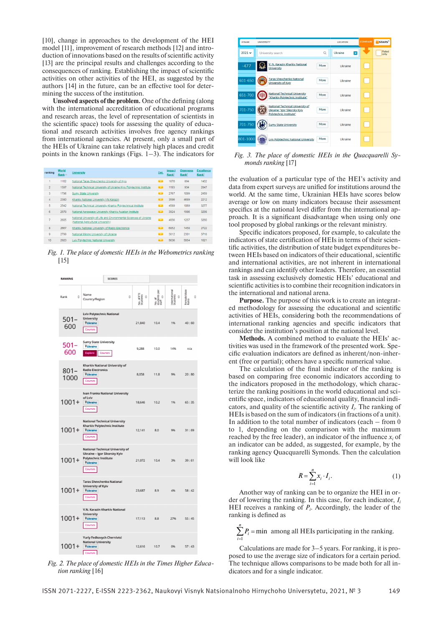[10], change in approaches to the development of the HEI model [11], improvement of research methods [12] and introduction of innovations based on the results of scientific activity [13] are the principal results and challenges according to the consequences of ranking. Establishing the impact of scientific activities on other activities of the HEI, as suggested by the authors [14] in the future, can be an effective tool for determining the success of the institution.

**Unsolved aspects of the problem.** One of the defining (along with the international accreditation of educational programs and research areas, the level of representation of scientists in the scientific space) tools for assessing the quality of educational and research activities involves free agency rankings from international agencies. At present, only a small part of the HEIs of Ukraine can take relatively high places and credit points in the known rankings (Figs. 1–3). The indicators for

| ranking        | <b>World</b><br>Rank <sup>*</sup> | <b>University</b>                                                                                       | Det.                     | Impact<br>Rank* | <b>Openness</b><br>Rank* | <b>Excellence</b><br>Rank* |
|----------------|-----------------------------------|---------------------------------------------------------------------------------------------------------|--------------------------|-----------------|--------------------------|----------------------------|
|                | 1162                              | National Taras Shevchenko University of Kyiv                                                            | <b>CONTRACT</b>          | 1870            | 894                      | 1402                       |
| $\overline{a}$ | 1597                              | National Technical University of Ukraine Kyly Polytechnic Institute                                     | $\rightarrow$            | 1193            | 934                      | 2847                       |
| 3              | 1796                              | Sumy State University                                                                                   | $\rightarrow$            | 2767            | 1099                     | 2459                       |
| 4              | 2380                              | Kharkiv National University VN Karazin                                                                  | $\overline{\phantom{a}}$ | 3586            | 4689                     | 2212                       |
| 5              | 2542                              | National Technical University Kharkiy Polytechnical Institute                                           | $\overline{\phantom{a}}$ | 4589            | 1069                     | 3277                       |
| 6              | 2578                              | National Aerospace University Kharkiv Aviation Institute                                                | - 13                     | 3924            | 1986                     | 3298                       |
| 7              | 2605                              | National University of Life and Environmental Sciences of Ukraine<br>(National Agricultural University) | 79                       | 4856            | 1257                     | 3260                       |
| 8              | 2667                              | Kharkiv National University of Radio Electronics                                                        | <b>CONTENT</b>           | 6852            | 1458                     | 2722                       |
| 9              | 2799                              | National Mining University of Ukraine                                                                   | - 13                     | 3812            | 2301                     | 3718                       |
| 10             | 2923                              | Lviv Polytechnic National University                                                                    | <b>Contract</b>          | 5636            | 5954                     | 1621                       |

*Fig. 1. The place of domestic HEIs in the Webometrics ranking*  [15]



*Fig. 2. The place of domestic HEIs in the Times Higher Education ranking* [16]



*Fig. 3. The place of domestic HEIs in the Quacquarelli Symonds ranking* [17]

the evaluation of a particular type of the HEI's activity and data from expert surveys are unified for institutions around the world. At the same time, Ukrainian HEIs have scores below average or low on many indicators because their assessment specifics at the national level differ from the international approach. It is a significant disadvantage when using only one tool proposed by global rankings or the relevant ministry.

Specific indicators proposed, for example, to calculate the indicators of state certification of HEIs in terms of their scientific activities, the distribution of state budget expenditures between HEIs based on indicators of their educational, scientific and international activities, are not inherent in international rankings and can identify other leaders. Therefore, an essential task in assessing exclusively domestic HEIs' educational and scientific activities is to combine their recognition indicators in the international and national arena.

**Purpose.** The purpose of this work is to create an integrated methodology for assessing the educational and scientific activities of HEIs, considering both the recommendations of international ranking agencies and specific indicators that consider the institution's position at the national level.

**Methods.** A combined method to evaluate the HEIs' activities was used in the framework of the presented work. Specific evaluation indicators are defined as inherent/non-inherent (free or partial); others have a specific numerical value.

The calculation of the final indicator of the ranking is based on comparing free economic indicators according to the indicators proposed in the methodology, which characterize the ranking positions in the world educational and scientific space, indicators of educational quality, financial indicators, and quality of the scientific activity  $I_i$ . The ranking of HEIs is based on the sum of indicators (in fractions of a unit). In addition to the total number of indicators (each – from 0 to 1, depending on the comparison with the maximum reached by the free leader), an indicator of the influence  $x_i$  of an indicator can be added, as suggested, for example, by the ranking agency Quacquarelli Symonds. Then the calculation will look like

$$
R = \sum_{i=1}^{n} x_i \cdot I_i. \tag{1}
$$

Another way of ranking can be to organize the HEI in order of lowering the ranking. In this case, for each indicator, *Ii* HEI receives a ranking of  $P_i$ . Accordingly, the leader of the ranking is defined as

1  $\sum P_i$  = min among all HEIs participating in the ranking. *n i* =

Calculations are made for 3–5 years. For ranking, it is proposed to use the average size of indicators for a certain period. The technique allows comparisons to be made both for all indicators and for a single indicator.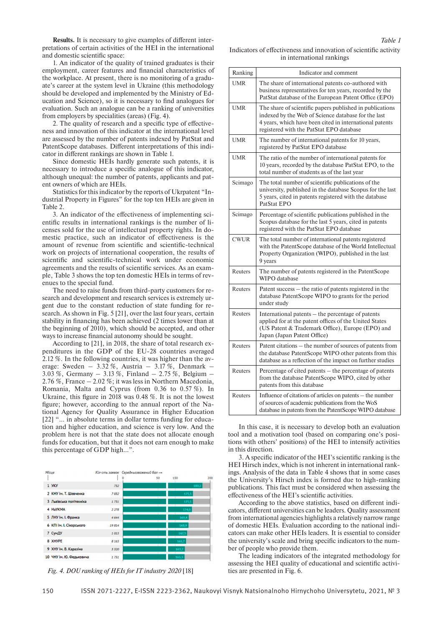**Results.** It is necessary to give examples of different interpretations of certain activities of the HEI in the international and domestic scientific space:

1. An indicator of the quality of trained graduates is their employment, career features and financial characteristics of the workplace. At present, there is no monitoring of a graduate's career at the system level in Ukraine (this methodology should be developed and implemented by the Ministry of Education and Science), so it is necessary to find analogues for evaluation. Such an analogue can be a ranking of universities from employers by specialities (areas) (Fig. 4).

2. The quality of research and a specific type of effectiveness and innovation of this indicator at the international level are assessed by the number of patents indexed by PatStat and PatentScope databases. Different interpretations of this indicator in different rankings are shown in Table 1.

Since domestic HEIs hardly generate such patents, it is necessary to introduce a specific analogue of this indicator, although unequal: the number of patents, applicants and patent owners of which are HEIs.

Statistics for this indicator by the reports of Ukrpatent "Industrial Property in Figures" for the top ten HEIs are given in Table 2.

3. An indicator of the effectiveness of implementing scientific results in international rankings is the number of licenses sold for the use of intellectual property rights. In domestic practice, such an indicator of effectiveness is the amount of revenue from scientific and scientific-technical work on projects of international cooperation, the results of scientific and scientific-technical work under economic agreements and the results of scientific services. As an example, Table 3 shows the top ten domestic HEIs in terms of revenues to the special fund.

The need to raise funds from third-party customers for research and development and research services is extremely urgent due to the constant reduction of state funding for research. As shown in Fig. 5 [21], over the last four years, certain stability in financing has been achieved (2 times lower than at the beginning of 2010), which should be accepted, and other ways to increase financial autonomy should be sought.

According to [21], in 2018, the share of total research expenditures in the GDP of the EU-28 countries averaged 2.12 %. In the following countries, it was higher than the average: Sweden –  $3.32\%$ , Austria –  $3.17\%$ , Denmark – 3.03 %, Germany – 3.13 %, Finland – 2.75 %, Belgium – 2.76 %, France – 2.02 %; it was less in Northern Macedonia, Romania, Malta and Cyprus (from 0.36 to 0.57 %). In Ukraine, this figure in 2018 was 0.48 %. It is not the lowest figure; however, according to the annual report of the National Agency for Quality Assurance in Higher Education [22] "... in absolute terms in dollar terms funding for education and higher education, and science is very low. And the problem here is not that the state does not allocate enough funds for education, but that it does not earn enough to make this percentage of GDP high…".



*Fig. 4. DOU ranking of HEIs for IT industry 2020* [18] ties are presented in Fig. 6.

Indicators of effectiveness and innovation of scientific activity in international rankings

| Ranking     | Indicator and comment                                                                                                                                                                                                  |  |
|-------------|------------------------------------------------------------------------------------------------------------------------------------------------------------------------------------------------------------------------|--|
| <b>UMR</b>  | The share of international patents co-authored with<br>business representatives for ten years, recorded by the<br>PatStat database of the European Patent Office (EPO)                                                 |  |
| <b>UMR</b>  | The share of scientific papers published in publications<br>indexed by the Web of Science database for the last<br>4 years, which have been cited in international patents<br>registered with the PatStat EPO database |  |
| <b>UMR</b>  | The number of international patents for 10 years,<br>registered by PatStat EPO database                                                                                                                                |  |
| <b>UMR</b>  | The ratio of the number of international patents for<br>10 years, recorded by the database PatStat EPO, to the<br>total number of students as of the last year                                                         |  |
| Scimago     | The total number of scientific publications of the<br>university, published in the database Scopus for the last<br>5 years, cited in patents registered with the database<br>PatStat EPO                               |  |
| Scimago     | Percentage of scientific publications published in the<br>Scopus database for the last 5 years, cited in patents<br>registered with the PatStat EPO database                                                           |  |
| <b>CWUR</b> | The total number of international patents registered<br>with the PatentScope database of the World Intellectual<br>Property Organization (WIPO), published in the last<br>9 years                                      |  |
| Reuters     | The number of patents registered in the PatentScope<br>WIPO database                                                                                                                                                   |  |
| Reuters     | Patent success - the ratio of patents registered in the<br>database PatentScope WIPO to grants for the period<br>under study                                                                                           |  |
| Reuters     | International patents - the percentage of patents<br>applied for at the patent offices of the United States<br>(US Patent & Trademark Office), Europe (EPO) and<br>Japan (Japan Patent Office)                         |  |
| Reuters     | Patent citations – the number of sources of patents from<br>the database PatentScope WIPO other patents from this<br>database as a reflection of the impact on further studies                                         |  |
| Reuters     | Percentage of cited patents - the percentage of patents<br>from the database PatentScope WIPO, cited by other<br>patents from this database                                                                            |  |
| Reuters     | Influence of citations of articles on patents – the number<br>of sources of academic publications from the WoS<br>database in patents from the PatentScope WIPO database                                               |  |

In this case, it is necessary to develop both an evaluation tool and a motivation tool (based on comparing one's positions with others' positions) of the HEI to intensify activities in this direction.

3. A specific indicator of the HEI's scientific ranking is the HEI Hirsch index, which is not inherent in international rankings. Analysis of the data in Table 4 shows that in some cases the University's Hirsch index is formed due to high-ranking publications. This fact must be considered when assessing the effectiveness of the HEI's scientific activities.

According to the above statistics, based on different indicators, different universities can be leaders. Quality assessment from international agencies highlights a relatively narrow range of domestic HEIs. Evaluation according to the national indicators can make other HEIs leaders. It is essential to consider the university's scale and bring specific indicators to the number of people who provide them.

The leading indicators of the integrated methodology for assessing the HEI quality of educational and scientific activi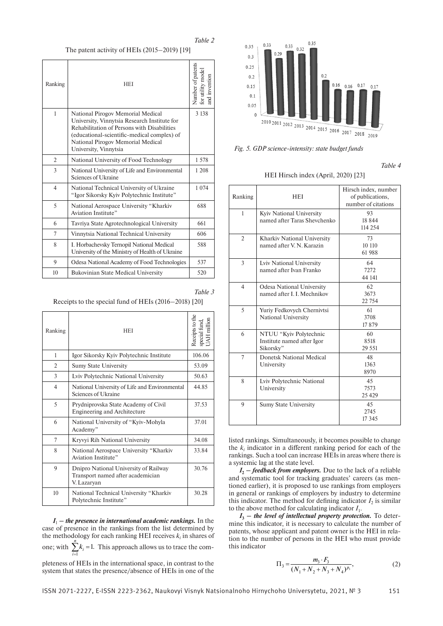*Table 2*

The patent activity of HEIs (2015–2019) [19]

| Ranking        | <b>HEI</b>                                                                                                                                                                                                                                    | Number of patents<br>or utility mode<br>nd invention |
|----------------|-----------------------------------------------------------------------------------------------------------------------------------------------------------------------------------------------------------------------------------------------|------------------------------------------------------|
| $\mathbf{1}$   | National Pirogov Memorial Medical<br>University, Vinnytsia Research Institute for<br>Rehabilitation of Persons with Disabilities<br>(educational-scientific-medical complex) of<br>National Pirogov Memorial Medical<br>University, Vinnytsia | 3 1 3 8                                              |
| $\overline{2}$ | National University of Food Technology                                                                                                                                                                                                        | 1.578                                                |
| 3              | National University of Life and Environmental<br>Sciences of Ukraine                                                                                                                                                                          | 1 208                                                |
| $\overline{4}$ | National Technical University of Ukraine<br>"Igor Sikorsky Kyiv Polytechnic Institute"                                                                                                                                                        | 1 0 7 4                                              |
| $\overline{5}$ | National Aerospace University "Kharkiv"<br>Aviation Institute"                                                                                                                                                                                | 688                                                  |
| 6              | Tavriya State Agrotechnological University                                                                                                                                                                                                    | 661                                                  |
| 7              | Vinnytsia National Technical University                                                                                                                                                                                                       | 606                                                  |
| 8              | I. Horbachevsky Ternopil National Medical<br>University of the Ministry of Health of Ukraine                                                                                                                                                  | 588                                                  |
| 9              | Odesa National Academy of Food Technologies                                                                                                                                                                                                   | 537                                                  |
| 10             | <b>Bukovinian State Medical University</b>                                                                                                                                                                                                    | 520                                                  |
|                |                                                                                                                                                                                                                                               |                                                      |

*Table 3*

Receipts to the special fund of HEIs (2016–2018) [20]

| Ranking          | HEI                                                                                       | Receipts to the<br>special fund,<br>UAH million |
|------------------|-------------------------------------------------------------------------------------------|-------------------------------------------------|
| 1                | Igor Sikorsky Kyiv Polytechnic Institute                                                  | 106.06                                          |
| 2                | <b>Sumy State University</b>                                                              | 53.09                                           |
| 3                | Lviv Polytechnic National University                                                      | 50.63                                           |
| $\overline{4}$   | National University of Life and Environmental<br>Sciences of Ukraine                      | 44.85                                           |
| 5                | Prydniprovska State Academy of Civil<br>Engineering and Architecture                      | 37.53                                           |
| 6                | National University of "Kyiv-Mohyla"<br>Academy"                                          | 37.01                                           |
| 7                | Kryvyi Rih National University                                                            | 34.08                                           |
| 8                | National Aerospace University "Kharkiv"<br>Aviation Institute"                            | 33.84                                           |
| 9                | Dnipro National University of Railway<br>Transport named after academician<br>V. Lazaryan | 30.76                                           |
| 10 <sup>10</sup> | National Technical University "Kharkiv<br>Polytechnic Institute"                          | 30.28                                           |

 $I_1$  – the presence in international academic rankings. In the case of presence in the rankings from the list determined by the methodology for each ranking HEI receives  $k_i$  in shares of one; with  $\sum_{i=1}^{n} k_i = 1$ . This approach allows us to trace the com*i* = pleteness of HEIs in the international space, in contrast to the

system that states the presence/absence of HEIs in one of the



*Fig. 5. GDP science-intensity: state budget funds*

*Table 4*

HEI Hirsch index (April, 2020) [23]

| Ranking        | <b>HEI</b>                                                        | Hirsch index, number<br>of publications,<br>number of citations |
|----------------|-------------------------------------------------------------------|-----------------------------------------------------------------|
| 1              | Kyiv National University<br>named after Taras Shevchenko          | 93<br>18844<br>114 254                                          |
| $\overline{2}$ | Kharkiv National University<br>named after V. N. Karazin          | 73<br>10 110<br>61 988                                          |
| 3              | Lviv National University<br>named after Ivan Franko               | 64<br>7272<br>44 141                                            |
| $\overline{4}$ | <b>Odesa National University</b><br>named after L. L. Mechnikov   | 62<br>3673<br>22 7 54                                           |
| 5              | Yuriy Fedkovych Chernivtsi<br><b>National University</b>          | 61<br>3708<br>17879                                             |
| 6              | NTUU "Kyiv Polytechnic<br>Institute named after Igor<br>Sikorsky" | 60<br>8518<br>29 551                                            |
| $\overline{7}$ | <b>Donetsk National Medical</b><br>University                     | 48<br>1363<br>8970                                              |
| 8              | Lviv Polytechnic National<br>University                           | 45<br>7573<br>25 4 29                                           |
| 9              | <b>Sumy State University</b>                                      | 45<br>2745<br>17 3 45                                           |

listed rankings. Simultaneously, it becomes possible to change the  $k_i$  indicator in a different ranking period for each of the rankings. Such a tool can increase HEIs in areas where there is a systemic lag at the state level.

 $I_2$  – feedback from employers. Due to the lack of a reliable and systematic tool for tracking graduates' careers (as mentioned earlier), it is proposed to use rankings from employers in general or rankings of employers by industry to determine this indicator. The method for defining indicator  $I_2$  is similar to the above method for calculating indicator  $I_1$ .

 $I_3$  – the level of intellectual property protection. To determine this indicator, it is necessary to calculate the number of patents, whose applicant and patent owner is the HEI in relation to the number of persons in the HEI who must provide this indicator

$$
\Pi_3 = \frac{m_3 \cdot F_3}{(N_1 + N_2 + N_3 + N_4)^{p_3}},\tag{2}
$$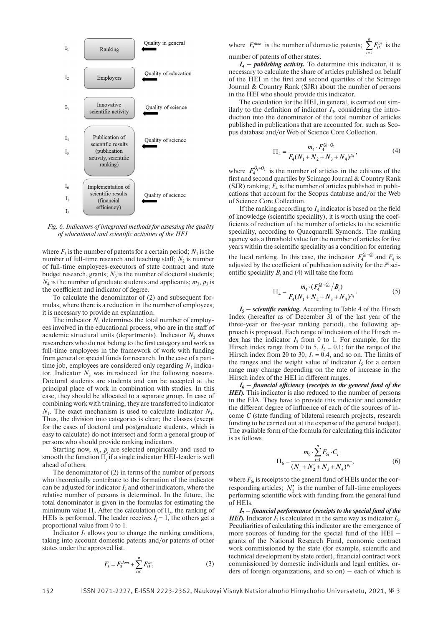

*Fig. 6. Indicators of integrated methods for assessing the quality of educational and scientific activities of the HEI*

where  $F_3$  is the number of patents for a certain period;  $N_1$  is the number of full-time research and teaching staff;  $N_2$  is number of full-time employees-executors of state contract and state budget research, grants;  $N_3$  is the number of doctoral students;  $N_4$  is the number of graduate students and applicants;  $m_3$ ,  $p_3$  is the coefficient and indicator of degree.

To calculate the denominator of (2) and subsequent formulas, where there is a reduction in the number of employees, it is necessary to provide an explanation.

The indicator  $N_1$  determines the total number of employees involved in the educational process, who are in the staff of academic structural units (departments). Indicator  $N_2$  shows researchers who do not belong to the first category and work as full-time employees in the framework of work with funding from general or special funds for research. In the case of a parttime job, employees are considered only regarding  $N_1$  indicator. Indicator  $N_3$  was introduced for the following reasons. Doctoral students are students and can be accepted at the principal place of work in combination with studies. In this case, they should be allocated to a separate group. In case of combining work with training, they are transferred to indicator  $N_1$ . The exact mechanism is used to calculate indicator  $N_4$ . Thus, the division into categories is clear; the classes (except for the cases of doctoral and postgraduate students, which is easy to calculate) do not intersect and form a general group of persons who should provide ranking indicators.

Starting now,  $m_j$ ,  $p_j$  are selected empirically and used to smooth the function  $\Pi_j$  if a single indicator HEI-leader is well ahead of others.

The denominator of (2) in terms of the number of persons who theoretically contribute to the formation of the indicator can be adjusted for indicator  $I_3$  and other indicators, where the relative number of persons is determined. In the future, the total denominator is given in the formulas for estimating the minimum value  $\Pi_j$ . After the calculation of  $\Pi_j$ , the ranking of HEIs is performed. The leader receives  $I_i = 1$ , the others get a proportional value from 0 to 1.

Indicator  $I_3$  allows you to change the ranking conditions, taking into account domestic patents and/or patents of other states under the approved list.

$$
F_3 = F_3^{dom} + \sum_{i=1}^{n} F_{i3}^{in},
$$
 (3)

where  $F_3^{dom}$  is the number of domestic patents;  $\sum_{i=1}^{n} F_{i3}^{in}$ 1 *i*  $\sum_{i=1} F_{i3}^{in}$  is the number of patents of other states.

*I4 – publishing activity.* To determine this indicator, it is necessary to calculate the share of articles published on behalf of the HEI in the first and second quartiles of the Scimago Journal & Country Rank (SJR) about the number of persons in the HEI who should provide this indicator.

The calculation for the HEI, in general, is carried out similarly to the definition of indicator  $I_3$ , considering the introduction into the denominator of the total number of articles published in publications that are accounted for, such as Scopus database and/or Web of Science Core Collection.

$$
\Pi_4 = \frac{m_4 \cdot F_4^{Q_1 + Q_2}}{F_4 (N_1 + N_2 + N_3 + N_4)^{p_4}},\tag{4}
$$

where  $F_4^{\mathcal{Q}_1+\mathcal{Q}_2}$  is the number of articles in the editions of the first and second quartiles by Scimago Journal & Country Rank (SJR) ranking;  $F_4$  is the number of articles published in publications that account for the Scopus database and/or the Web of Science Core Collection.

If the ranking according to  $L_1$  indicator is based on the field of knowledge (scientific speciality), it is worth using the coefficients of reduction of the number of articles to the scientific speciality, according to Quacquarelli Symonds. The ranking agency sets a threshold value for the number of articles for five years within the scientific speciality as a condition for entering the local ranking. In this case, the indicator  $F_4^{Q_1+Q_2}$  and  $F_4$  is adjusted by the coefficient of publication activity for the *i*<sup>th</sup> scientific speciality  $B_i$  and (4) will take the form

$$
\Pi_4 = \frac{m_4 \cdot (F_4^{Q_1+Q_2}/B_i)}{F_4(N_1 + N_2 + N_3 + N_4)^{p_4}}.\tag{5}
$$

 $I_5$  – scientific ranking. According to Table 4 of the Hirsch Index (hereafter as of December 31 of the last year of the three-year or five-year ranking period), the following approach is proposed. Each range of indicators of the Hirsch index has the indicator  $I_5$  from 0 to 1. For example, for the Hirsch index range from 0 to 5,  $I_5 = 0.1$ ; for the range of the Hirsch index from 20 to 30,  $I_5 = 0.4$ , and so on. The limits of the ranges and the weight value of indicator  $I_5$  for a certain range may change depending on the rate of increase in the Hirsch index of the HEI in different ranges.

 $I_6$  – financial efficiency (receipts to the general fund of the *HEI***)***.* This indicator is also reduced to the number of persons in the EIA. They have to provide this indicator and consider the different degree of influence of each of the sources of income *C* (state funding of bilateral research projects, research funding to be carried out at the expense of the general budget). The available form of the formula for calculating this indicator is as follows

$$
\Pi_{6} = \frac{m_{6} \cdot \sum_{i=1}^{n} F_{6i} \cdot C_{i}}{(N_{1} + N_{2}^{\prime} + N_{3} + N_{4})^{p_{6}}},
$$
\n(6)

where  $F_{6i}$  is receipts to the general fund of HEIs under the corresponding articles;  $N'_2$  is the number of full-time employees performing scientific work with funding from the general fund of HEIs.

*I***7** *– financial performance* **(***receipts to the special fund of the HEI***)**. Indicator  $I_7$  is calculated in the same way as indicator  $I_6$ . Peculiarities of calculating this indicator are the emergence of more sources of funding for the special fund of the HEI – grants of the National Research Fund, economic contract work commissioned by the state (for example, scientific and technical development by state order), financial contract work commissioned by domestic individuals and legal entities, orders of foreign organizations, and so on) – each of which is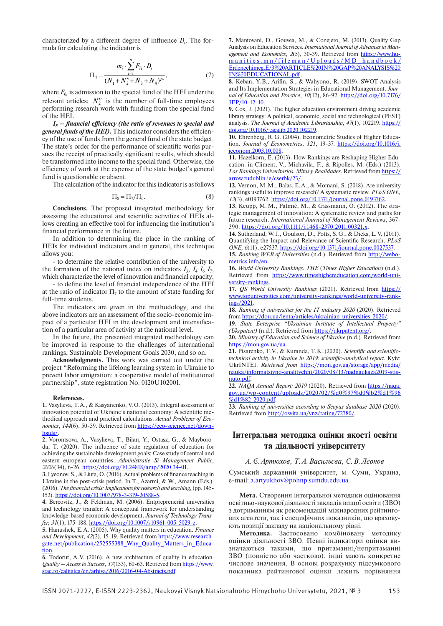characterized by a different degree of influence  $D_i$ . The formula for calculating the indicator is

$$
\Pi_7 = \frac{m_7 \cdot \sum_{i=1}^{n} F_{7i} \cdot D_i}{(N_1 + N_2'' + N_3 + N_4)^{p_7}},\tag{7}
$$

where  $F_{6i}$  is admission to the special fund of the HEI under the relevant articles;  $N_2''$  is the number of full-time employees performing research work with funding from the special fund of the HEI.

*I8 – financial efficiency (the ratio of revenues to special and general funds of the HEI).* This indicator considers the efficiency of the use of funds from the general fund of the state budget. The state's order for the performance of scientific works pursues the receipt of practically significant results, which should be transformed into income to the special fund. Otherwise, the efficiency of work at the expense of the state budget's general fund is questionable or absent.

The calculation of the indicator for this indicator is as follows

$$
\Pi_8 = \Pi_7 / \Pi_6. \tag{8}
$$

**Conclusions.** The proposed integrated methodology for assessing the educational and scientific activities of HEIs allows creating an effective tool for influencing the institution's financial performance in the future.

In addition to determining the place in the ranking of HEIs for individual indicators and in general, this technique allows you:

- to determine the relative contribution of the university to the formation of the national index on indicators  $I_3$ ,  $I_4$   $I_6$   $I_7$ , which characterize the level of innovation and financial capacity;

- to define the level of financial independence of the HEI at the ratio of indicator  $\Pi$ <sub>7</sub> to the amount of state funding for full-time students.

The indicators are given in the methodology, and the above indicators are an assessment of the socio-economic impact of a particular HEI in the development and intensification of a particular area of activity at the national level.

In the future, the presented integrated methodology can be improved in response to the challenges of international rankings, Sustainable Development Goals 2030, and so on.

**Acknowledgments.** This work was carried out under the project "Reforming the lifelong learning system in Ukraine to prevent labor emigration: a cooperative model of institutional partnership", state registration No. 0120U102001.

#### **References.**

**1.** Vasylieva, T.A., & Kasyanenko, V.O. (2013). Integral assessment of innovation potential of Ukraine's national economy: A scientific methodical approach and practical calculations. *Actual Problems of Economics*, *144*(6), 50-59. Retrieved from https://eco-science.net/downloads/.

**2.** Vorontsova, A., Vasylieva, T., Bilan, Y., Ostasz, G., & Mayboroda, T. (2020). The influence of state regulation of education for achieving the sustainable development goals: Case study of central and eastern european countries. *Administratie Si Management Public, 2020*(34), 6-26. https://doi.org/10.24818/amp/2020.34-01.

**3.** Lyeonov, S., & Liuta, O. (2016). Actual problems of finance teaching in Ukraine in the post-crisis period. In T., Azarmi, & W., Amann (Eds.). (2016). *The financial crisis: Implications for research and teaching,* (pp. 145-152). https://doi.org/10.1007/978-3-319-20588-5.

**4.** Bercovitz, J., & Feldman, M. (2006). Entpreprenerial universities and technology transfer: A conceptual framework for understanding knowledge-based economic development. *Journal of Technology Transfer, 31*(1), 175-188. https://doi.org/10.1007/s10961-005-5029-z.

**5.** Hanushek, E.A. (2005). Why quality matters in education. *Finance and Development*, *42*(2), 15-19. Retrieved from https://www.researchgate.net/publication/252555388\_Why\_Quality\_Matters\_in\_Education.

**6.** Todorut, A.V. (2016). A new architecture of quality in education. *Quality – Access to Success*, *17*(153), 60-63. Retrieved from https://www. srac.ro/calitatea/en/arhiva/2016/2016-04-Abstracts.pdf.

**7.** Mantovani, D., Gouvea, M., & Conejero, M. (2013). Quality Gap Analysis on Education Services. *International Journal of Advances in Management and Economics*, *2*(5), 30-39. Retrieved from https://www.humanities.mn/fileman/Uploads/MD\_handbook/ Erdenechimeg.E/3%20ARTICLE%20IN%20GAP%20ANALYSIS%20 IN%20EDUCATIONAL.pdf .

**8.** Keban, Y.B., Arifin, S., & Wahyono, R. (2019). SWOT Analysis and Its Implementation Strategies in Educational Management. *Journal of Education and Practice*, *10*(12), 86-92. https://doi.org/10.7176/ JEP/10-12-10.

**9.** Cox, J. (2021). The higher education environment driving academic library strategy: A political, economic, social and technological (PEST) analysis. *The Journal of Academic Librarianship*, 47(1), 102219. https:// doi.org/10.1016/j.acalib.2020.102219.

**10.** Ehrenberg, R.G. (2004). Econometric Studies of Higher Education. *Journal of Econometrics*, *121*, 19-37. https://doi.org/10.1016/j. jeconom.2003.10.008.

**11.** Hazelkorn, E. (2013). How Rankings are Reshaping Higher Education. in Climent, V., Michavila, F., & Ripolles, M. (Eds.) (2013). *Los Rankings Univeritarios. Mitos y Realidades*. Retrieved from https:// arrow.tudublin.ie/cserbk/23/.

**12.** Vernon, M.M., Balas, E.A., & Momani, S. (2018). Are university rankings useful to improve research? A systematic review. *PLoS ONE, 13*(3), e0193762. https://doi.org/10.1371/journal.pone.0193762.

**13.** Keupp, M. M., Palmié, M., & Gassmann, O. (2012). The strategic management of innovation: A systematic review and paths for future research. *International Journal of Management Reviews*, 367-390. https://doi.org/10.1111/j.1468-2370.2011.00321.x.

**14.** Sutherland, W. J., Goulson, D., Potts, S.G., & Dicks, L.V. (2011). Quantifying the Impact and Relevance of Scientific Research. *PLoS ONE, 6*(11), e27537. https://doi.org/10.1371/journal.pone.0027537.

**15.** *Ranking WEB of Universities* (n.d.). Retrieved from http://webometrics.info/en.

**16.** *World University Rankings. THE* (*Times Higher Education*) (n.d.). Retrieved from https://www.timeshighereducation.com/world-university-rankings.

**17.** *QS World University Rankings* (2021). Retrieved from https:// www.topuniversities.com/university-rankings/world-university-rankings/2021.

**18.** *Ranking of universities for the IT industry 2020* (2020). Retrieved from https://dou.ua/lenta/articles/ukrainian-universities-2020/.

**19.** *State Enterprise "Ukrainian Institute of Intellectual Property" (Ukrpatent)* (n.d.). Retrieved from https://ukrpatent.org/.

**20.** *Ministry of Education and Science of Ukraine* (n.d.). Retrieved from https://mon.gov.ua/ua.

**21.** Pisarenko, T.V., & Kuranda, T.K. (2020). *Scientific and scientifictechnical activity in Ukraine in 2019: scientific-analytical report*. Кyiv: UkrINTEI. *Retrieved from* https://mon.gov.ua/storage/app/media/ nauka/informatsiyno-analitychni/2020/08/13/nadnaukaza2019-stisnuto.pdf.

**22.** *NAQA Annual Report: 2019* (2020). Retrieved from https://naqa. gov.ua/wp-content/uploads/2020/02/%d0%97%d0%b2%d1%96 %d1%82-2020.pdf.

**23.** *Ranking of universities according to Scopus database 2020* (2020). Retrieved from http://osvita.ua/vnz/rating/72780/.

## **Інтегральна методика оцінки якості освіти та діяльності університету**

### *А.Є.Артюхов, Т.А.Васильєва, С.В.Лєонов*

Сумський державний університет, м. Суми, Україна, e-mail: a.artyukhov@pohnp.sumdu.edu.ua

**Мета.** Створення інтегральної методики оцінювання освітньо-наукової діяльності закладів вищої освіти (ЗВО) з дотриманням як рекомендацій міжнародних рейтингових агентств, так і специфічних показників, що враховують позиції закладу на національному рівні.

**Методика.** Застосовано комбіновану методику оцінки діяльності ЗВО. Певні індикатори оцінки визначаються такими, що притаманні/непритаманні ЗВО (повністю або частково), інші мають конкретне числове значення. В основі розрахунку підсумкового показника рейтингової оцінки лежить порівняння